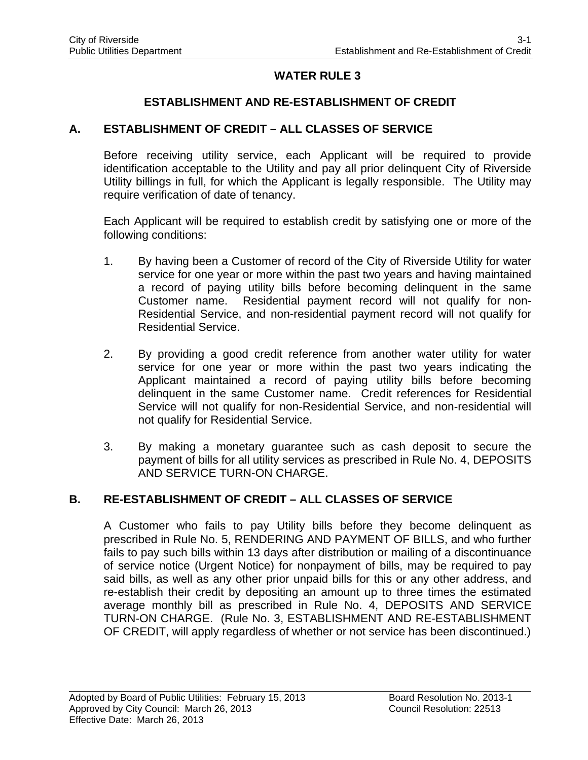# **WATER RULE 3**

## **ESTABLISHMENT AND RE-ESTABLISHMENT OF CREDIT**

### **A. ESTABLISHMENT OF CREDIT – ALL CLASSES OF SERVICE**

Before receiving utility service, each Applicant will be required to provide identification acceptable to the Utility and pay all prior delinquent City of Riverside Utility billings in full, for which the Applicant is legally responsible. The Utility may require verification of date of tenancy.

Each Applicant will be required to establish credit by satisfying one or more of the following conditions:

- 1. By having been a Customer of record of the City of Riverside Utility for water service for one year or more within the past two years and having maintained a record of paying utility bills before becoming delinquent in the same Customer name. Residential payment record will not qualify for non-Residential Service, and non-residential payment record will not qualify for Residential Service.
- 2. By providing a good credit reference from another water utility for water service for one year or more within the past two years indicating the Applicant maintained a record of paying utility bills before becoming delinquent in the same Customer name. Credit references for Residential Service will not qualify for non-Residential Service, and non-residential will not qualify for Residential Service.
- 3. By making a monetary guarantee such as cash deposit to secure the payment of bills for all utility services as prescribed in Rule No. 4, DEPOSITS AND SERVICE TURN-ON CHARGE.

### **B. RE-ESTABLISHMENT OF CREDIT – ALL CLASSES OF SERVICE**

A Customer who fails to pay Utility bills before they become delinquent as prescribed in Rule No. 5, RENDERING AND PAYMENT OF BILLS, and who further fails to pay such bills within 13 days after distribution or mailing of a discontinuance of service notice (Urgent Notice) for nonpayment of bills, may be required to pay said bills, as well as any other prior unpaid bills for this or any other address, and re-establish their credit by depositing an amount up to three times the estimated average monthly bill as prescribed in Rule No. 4, DEPOSITS AND SERVICE TURN-ON CHARGE. (Rule No. 3, ESTABLISHMENT AND RE-ESTABLISHMENT OF CREDIT, will apply regardless of whether or not service has been discontinued.)

l